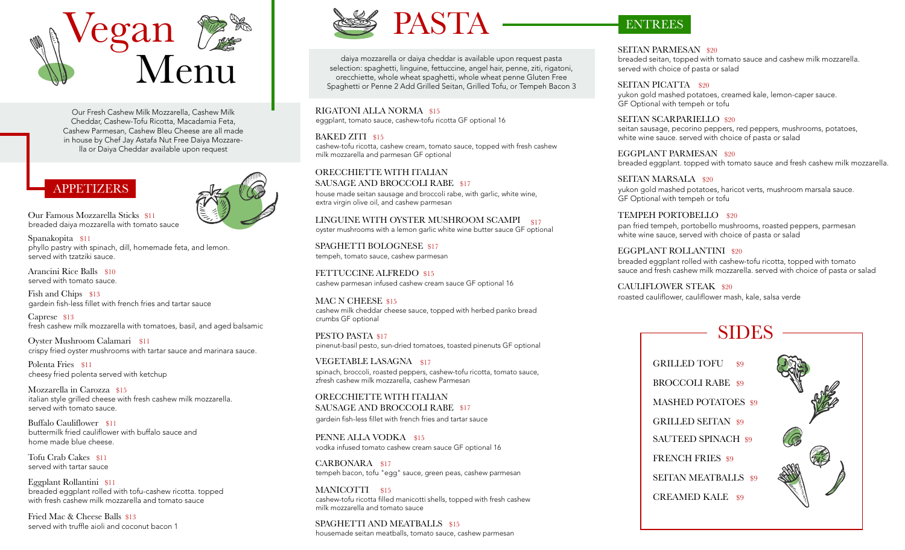

Our Fresh Cashew Milk Mozzarella, Cashew Milk Cheddar, Cashew-Tofu Ricotta, Macadamia Feta, Cashew Parmesan, Cashew Bleu Cheese are all made in house by Chef Jay Astafa Nut Free Daiya Mozzarella or Daiya Cheddar available upon request

# APPETIZERS

Our Famous Mozzarella Sticks \$11 breaded daiya mozzarella with tomato sauce

Spanakopita \$11 phyllo pastry with spinach, dill, homemade feta, and lemon. served with tzatziki sauce.

Arancini Rice Balls \$10 served with tomato sauce.

Fish and Chips \$13 gardein fish-less fillet with french fries and tartar sauce

Caprese \$13 fresh cashew milk mozzarella with tomatoes, basil, and aged balsamic

Oyster Mushroom Calamari \$11 crispy fried oyster mushrooms with tartar sauce and marinara sauce.

Polenta Fries \$11 cheesy fried polenta served with ketchup

Mozzarella in Carozza \$15 italian style grilled cheese with fresh cashew milk mozzarella. served with tomato sauce.

Buffalo Cauliflower \$11 buttermilk fried cauliflower with buffalo sauce and home made blue cheese.

Tofu Crab Cakes \$11 served with tartar sauce

Eggplant Rollantini \$11 breaded eggplant rolled with tofu-cashew ricotta. topped with fresh cashew milk mozzarella and tomato sauce

Fried Mac & Cheese Balls \$13 served with truffle aioli and coconut bacon 1



daiya mozzarella or daiya cheddar is available upon request pasta selection: spaghetti, linguine, fettuccine, angel hair, penne, ziti, rigatoni, orecchiette, whole wheat spaghetti, whole wheat penne Gluten Free Spaghetti or Penne 2 Add Grilled Seitan, Grilled Tofu, or Tempeh Bacon 3

RIGATONI ALLA NORMA \$15 eggplant, tomato sauce, cashew-tofu ricotta GF optional 16

## BAKED ZITI \$15

cashew-tofu ricotta, cashew cream, tomato sauce, topped with fresh cashew milk mozzarella and parmesan GF optional

ORECCHIETTE WITH ITALIAN SAUSAGE AND BROCCOLI RABE \$17

house made seitan sausage and broccoli rabe, with garlic, white wine, extra virgin olive oil, and cashew parmesan

LINGUINE WITH OYSTER MUSHROOM SCAMPI \$17 oyster mushrooms with a lemon garlic white wine butter sauce GF optional

SPAGHETTI BOLOGNESE \$17 tempeh, tomato sauce, cashew parmesan

FETTUCCINE ALFREDO \$15 cashew parmesan infused cashew cream sauce GF optional 16

MAC N CHEESE \$15 cashew milk cheddar cheese sauce, topped with herbed panko bread crumbs GF optional

PESTO PASTA \$17 pinenut-basil pesto, sun-dried tomatoes, toasted pinenuts GF optional

VEGETABLE LASAGNA \$17 spinach, broccoli, roasted peppers, cashew-tofu ricotta, tomato sauce, zfresh cashew milk mozzarella, cashew Parmesan

ORECCHIETTE WITH ITALIAN SAUSAGE AND BROCCOLI RABE \$17 gardein fish-less fillet with french fries and tartar sauce

PENNE ALLA VODKA \$15 vodka infused tomato cashew cream sauce GF optional 16

CARBONARA \$17 tempeh bacon, tofu "egg" sauce, green peas, cashew parmesan

MANICOTTI \$15 cashew-tofu ricotta filled manicotti shells, topped with fresh cashew milk mozzarella and tomato sauce

SPAGHETTI AND MEATBALLS \$15 housemade seitan meatballs, tomato sauce, cashew parmesan

# ENTREES

SEITAN PARMESAN \$20 breaded seitan, topped with tomato sauce and cashew milk mozzarella. served with choice of pasta or salad

SEITAN PICATTA \$20 yukon gold mashed potatoes, creamed kale, lemon-caper sauce. GF Optional with tempeh or tofu

SEITAN SCARPARIELLO \$20 seitan sausage, pecorino peppers, red peppers, mushrooms, potatoes, white wine sauce. served with choice of pasta or salad

EGGPLANT PARMESAN \$20 breaded eggplant. topped with tomato sauce and fresh cashew milk mozzarella.

SEITAN MARSALA \$20 yukon gold mashed potatoes, haricot verts, mushroom marsala sauce. GF Optional with tempeh or tofu

TEMPEH PORTOBELLO \$20 pan fried tempeh, portobello mushrooms, roasted peppers, parmesan white wine sauce, served with choice of pasta or salad

EGGPLANT ROLLANTINI \$20 breaded eggplant rolled with cashew-tofu ricotta, topped with tomato sauce and fresh cashew milk mozzarella. served with choice of pasta or salad

CAULIFLOWER STEAK \$20 roasted cauliflower, cauliflower mash, kale, salsa verde